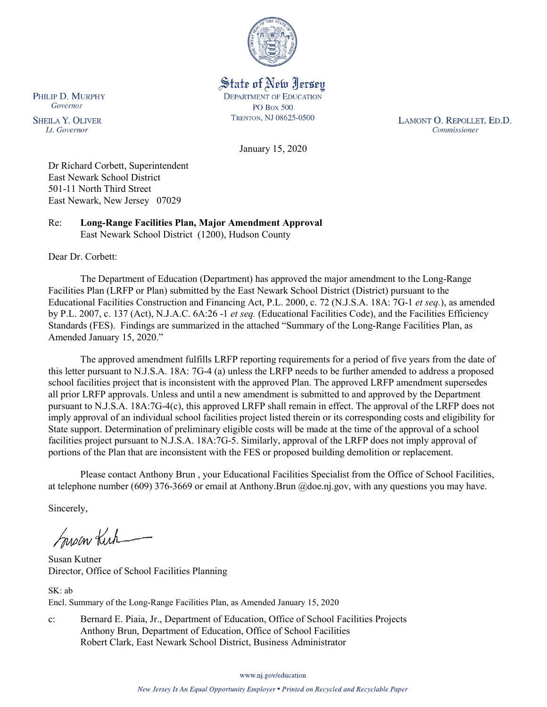

State of New Jersey **DEPARTMENT OF EDUCATION PO Box 500** TRENTON, NJ 08625-0500

LAMONT O. REPOLLET, ED.D. Commissioner

January 15, 2020

Dr Richard Corbett, Superintendent East Newark School District 501-11 North Third Street East Newark, New Jersey 07029

Re: **Long-Range Facilities Plan, Major Amendment Approval** East Newark School District (1200), Hudson County

Dear Dr. Corbett:

PHILIP D. MURPHY Governor

**SHEILA Y. OLIVER** 

Lt. Governor

The Department of Education (Department) has approved the major amendment to the Long-Range Facilities Plan (LRFP or Plan) submitted by the East Newark School District (District) pursuant to the Educational Facilities Construction and Financing Act, P.L. 2000, c. 72 (N.J.S.A. 18A: 7G-1 *et seq.*), as amended by P.L. 2007, c. 137 (Act), N.J.A.C. 6A:26 -1 *et seq.* (Educational Facilities Code), and the Facilities Efficiency Standards (FES). Findings are summarized in the attached "Summary of the Long-Range Facilities Plan, as Amended January 15, 2020."

The approved amendment fulfills LRFP reporting requirements for a period of five years from the date of this letter pursuant to N.J.S.A. 18A: 7G-4 (a) unless the LRFP needs to be further amended to address a proposed school facilities project that is inconsistent with the approved Plan. The approved LRFP amendment supersedes all prior LRFP approvals. Unless and until a new amendment is submitted to and approved by the Department pursuant to N.J.S.A. 18A:7G-4(c), this approved LRFP shall remain in effect. The approval of the LRFP does not imply approval of an individual school facilities project listed therein or its corresponding costs and eligibility for State support. Determination of preliminary eligible costs will be made at the time of the approval of a school facilities project pursuant to N.J.S.A. 18A:7G-5. Similarly, approval of the LRFP does not imply approval of portions of the Plan that are inconsistent with the FES or proposed building demolition or replacement.

Please contact Anthony Brun , your Educational Facilities Specialist from the Office of School Facilities, at telephone number (609) 376-3669 or email at Anthony.Brun @doe.nj.gov, with any questions you may have.

Sincerely,

Susan Kich

Susan Kutner Director, Office of School Facilities Planning

SK: ab Encl. Summary of the Long-Range Facilities Plan, as Amended January 15, 2020

c: Bernard E. Piaia, Jr., Department of Education, Office of School Facilities Projects Anthony Brun, Department of Education, Office of School Facilities Robert Clark, East Newark School District, Business Administrator

www.nj.gov/education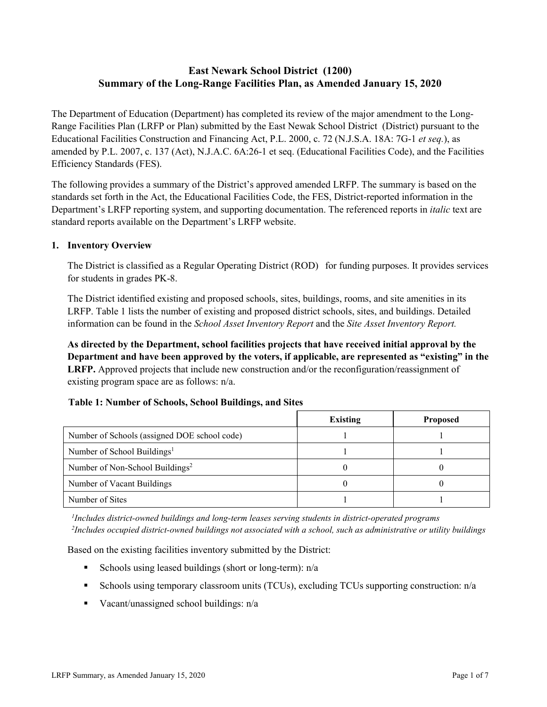# **East Newark School District (1200) Summary of the Long-Range Facilities Plan, as Amended January 15, 2020**

The Department of Education (Department) has completed its review of the major amendment to the Long-Range Facilities Plan (LRFP or Plan) submitted by the East Newak School District (District) pursuant to the Educational Facilities Construction and Financing Act, P.L. 2000, c. 72 (N.J.S.A. 18A: 7G-1 *et seq.*), as amended by P.L. 2007, c. 137 (Act), N.J.A.C. 6A:26-1 et seq. (Educational Facilities Code), and the Facilities Efficiency Standards (FES).

The following provides a summary of the District's approved amended LRFP. The summary is based on the standards set forth in the Act, the Educational Facilities Code, the FES, District-reported information in the Department's LRFP reporting system, and supporting documentation. The referenced reports in *italic* text are standard reports available on the Department's LRFP website.

### **1. Inventory Overview**

The District is classified as a Regular Operating District (ROD) for funding purposes. It provides services for students in grades PK-8.

The District identified existing and proposed schools, sites, buildings, rooms, and site amenities in its LRFP. Table 1 lists the number of existing and proposed district schools, sites, and buildings. Detailed information can be found in the *School Asset Inventory Report* and the *Site Asset Inventory Report.*

**As directed by the Department, school facilities projects that have received initial approval by the Department and have been approved by the voters, if applicable, are represented as "existing" in the LRFP.** Approved projects that include new construction and/or the reconfiguration/reassignment of existing program space are as follows: n/a.

#### **Table 1: Number of Schools, School Buildings, and Sites**

|                                              | <b>Existing</b> | <b>Proposed</b> |
|----------------------------------------------|-----------------|-----------------|
| Number of Schools (assigned DOE school code) |                 |                 |
| Number of School Buildings <sup>1</sup>      |                 |                 |
| Number of Non-School Buildings <sup>2</sup>  |                 |                 |
| Number of Vacant Buildings                   |                 |                 |
| Number of Sites                              |                 |                 |

*1 Includes district-owned buildings and long-term leases serving students in district-operated programs 2 Includes occupied district-owned buildings not associated with a school, such as administrative or utility buildings*

Based on the existing facilities inventory submitted by the District:

- Schools using leased buildings (short or long-term):  $n/a$
- Schools using temporary classroom units (TCUs), excluding TCUs supporting construction: n/a
- Vacant/unassigned school buildings:  $n/a$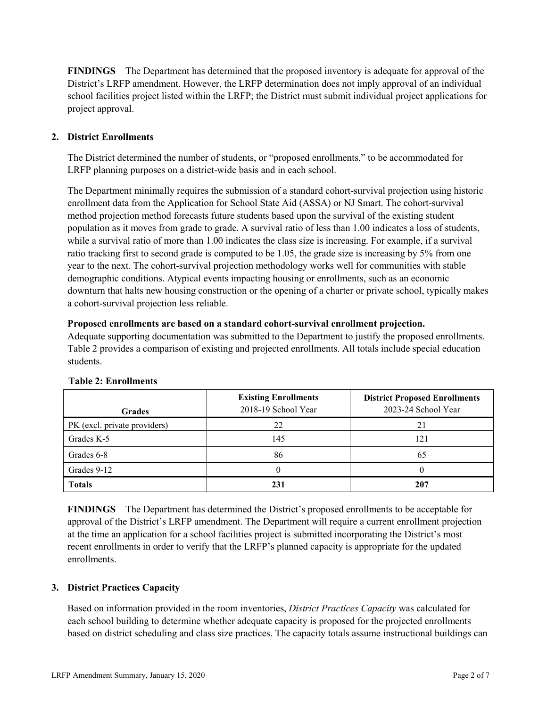**FINDINGS** The Department has determined that the proposed inventory is adequate for approval of the District's LRFP amendment. However, the LRFP determination does not imply approval of an individual school facilities project listed within the LRFP; the District must submit individual project applications for project approval.

# **2. District Enrollments**

The District determined the number of students, or "proposed enrollments," to be accommodated for LRFP planning purposes on a district-wide basis and in each school.

The Department minimally requires the submission of a standard cohort-survival projection using historic enrollment data from the Application for School State Aid (ASSA) or NJ Smart. The cohort-survival method projection method forecasts future students based upon the survival of the existing student population as it moves from grade to grade. A survival ratio of less than 1.00 indicates a loss of students, while a survival ratio of more than 1.00 indicates the class size is increasing. For example, if a survival ratio tracking first to second grade is computed to be 1.05, the grade size is increasing by 5% from one year to the next. The cohort-survival projection methodology works well for communities with stable demographic conditions. Atypical events impacting housing or enrollments, such as an economic downturn that halts new housing construction or the opening of a charter or private school, typically makes a cohort-survival projection less reliable.

### **Proposed enrollments are based on a standard cohort-survival enrollment projection.**

Adequate supporting documentation was submitted to the Department to justify the proposed enrollments. Table 2 provides a comparison of existing and projected enrollments. All totals include special education students.

| <b>Grades</b>                | <b>Existing Enrollments</b><br>2018-19 School Year | <b>District Proposed Enrollments</b><br>2023-24 School Year |
|------------------------------|----------------------------------------------------|-------------------------------------------------------------|
| PK (excl. private providers) | 22                                                 | 21                                                          |
| Grades K-5                   | 145                                                | 121                                                         |
| Grades 6-8                   | 86                                                 | 65                                                          |
| Grades 9-12                  |                                                    |                                                             |
| <b>Totals</b>                | 231                                                | 207                                                         |

# **Table 2: Enrollments**

**FINDINGS** The Department has determined the District's proposed enrollments to be acceptable for approval of the District's LRFP amendment. The Department will require a current enrollment projection at the time an application for a school facilities project is submitted incorporating the District's most recent enrollments in order to verify that the LRFP's planned capacity is appropriate for the updated enrollments.

# **3. District Practices Capacity**

Based on information provided in the room inventories, *District Practices Capacity* was calculated for each school building to determine whether adequate capacity is proposed for the projected enrollments based on district scheduling and class size practices. The capacity totals assume instructional buildings can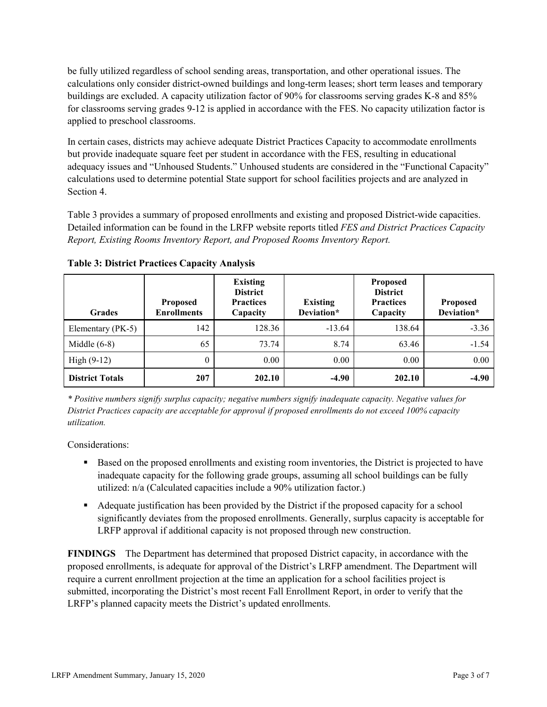be fully utilized regardless of school sending areas, transportation, and other operational issues. The calculations only consider district-owned buildings and long-term leases; short term leases and temporary buildings are excluded. A capacity utilization factor of 90% for classrooms serving grades K-8 and 85% for classrooms serving grades 9-12 is applied in accordance with the FES. No capacity utilization factor is applied to preschool classrooms.

In certain cases, districts may achieve adequate District Practices Capacity to accommodate enrollments but provide inadequate square feet per student in accordance with the FES, resulting in educational adequacy issues and "Unhoused Students." Unhoused students are considered in the "Functional Capacity" calculations used to determine potential State support for school facilities projects and are analyzed in Section 4.

Table 3 provides a summary of proposed enrollments and existing and proposed District-wide capacities. Detailed information can be found in the LRFP website reports titled *FES and District Practices Capacity Report, Existing Rooms Inventory Report, and Proposed Rooms Inventory Report.*

| <b>Grades</b>          | <b>Proposed</b><br><b>Enrollments</b> | <b>Existing</b><br><b>District</b><br><b>Practices</b><br>Capacity | <b>Existing</b><br>Deviation* | <b>Proposed</b><br><b>District</b><br><b>Practices</b><br>Capacity | <b>Proposed</b><br>Deviation* |
|------------------------|---------------------------------------|--------------------------------------------------------------------|-------------------------------|--------------------------------------------------------------------|-------------------------------|
| Elementary (PK-5)      | 142                                   | 128.36                                                             | $-13.64$                      | 138.64                                                             | $-3.36$                       |
| Middle $(6-8)$         | 65                                    | 73.74                                                              | 8.74                          | 63.46                                                              | $-1.54$                       |
| High $(9-12)$          | $\theta$                              | 0.00                                                               | 0.00                          | 0.00                                                               | 0.00                          |
| <b>District Totals</b> | 207                                   | 202.10                                                             | $-4.90$                       | 202.10                                                             | $-4.90$                       |

**Table 3: District Practices Capacity Analysis**

*\* Positive numbers signify surplus capacity; negative numbers signify inadequate capacity. Negative values for District Practices capacity are acceptable for approval if proposed enrollments do not exceed 100% capacity utilization.*

Considerations:

- **Based on the proposed enrollments and existing room inventories, the District is projected to have** inadequate capacity for the following grade groups, assuming all school buildings can be fully utilized: n/a (Calculated capacities include a 90% utilization factor.)
- Adequate justification has been provided by the District if the proposed capacity for a school significantly deviates from the proposed enrollments. Generally, surplus capacity is acceptable for LRFP approval if additional capacity is not proposed through new construction.

**FINDINGS**The Department has determined that proposed District capacity, in accordance with the proposed enrollments, is adequate for approval of the District's LRFP amendment. The Department will require a current enrollment projection at the time an application for a school facilities project is submitted, incorporating the District's most recent Fall Enrollment Report, in order to verify that the LRFP's planned capacity meets the District's updated enrollments.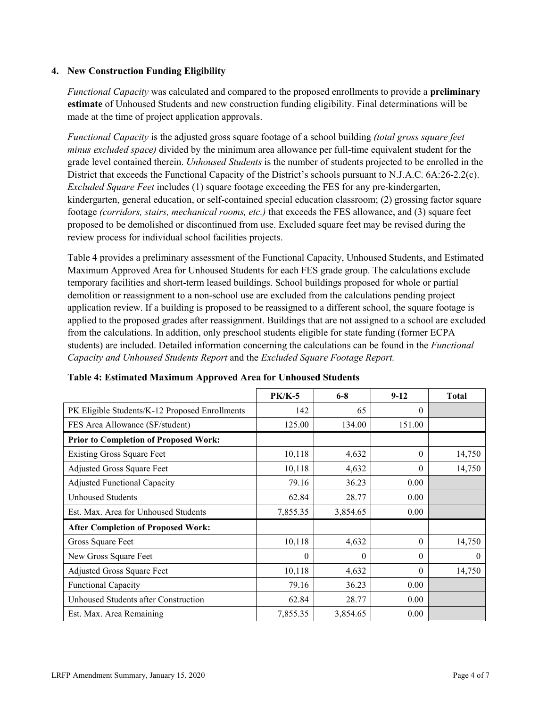### **4. New Construction Funding Eligibility**

*Functional Capacity* was calculated and compared to the proposed enrollments to provide a **preliminary estimate** of Unhoused Students and new construction funding eligibility. Final determinations will be made at the time of project application approvals.

*Functional Capacity* is the adjusted gross square footage of a school building *(total gross square feet minus excluded space)* divided by the minimum area allowance per full-time equivalent student for the grade level contained therein. *Unhoused Students* is the number of students projected to be enrolled in the District that exceeds the Functional Capacity of the District's schools pursuant to N.J.A.C. 6A:26-2.2(c). *Excluded Square Feet* includes (1) square footage exceeding the FES for any pre-kindergarten, kindergarten, general education, or self-contained special education classroom; (2) grossing factor square footage *(corridors, stairs, mechanical rooms, etc.)* that exceeds the FES allowance, and (3) square feet proposed to be demolished or discontinued from use. Excluded square feet may be revised during the review process for individual school facilities projects.

Table 4 provides a preliminary assessment of the Functional Capacity, Unhoused Students, and Estimated Maximum Approved Area for Unhoused Students for each FES grade group. The calculations exclude temporary facilities and short-term leased buildings. School buildings proposed for whole or partial demolition or reassignment to a non-school use are excluded from the calculations pending project application review. If a building is proposed to be reassigned to a different school, the square footage is applied to the proposed grades after reassignment. Buildings that are not assigned to a school are excluded from the calculations. In addition, only preschool students eligible for state funding (former ECPA students) are included. Detailed information concerning the calculations can be found in the *Functional Capacity and Unhoused Students Report* and the *Excluded Square Footage Report.*

|                                                | <b>PK/K-5</b> | $6 - 8$  | $9 - 12$ | <b>Total</b> |
|------------------------------------------------|---------------|----------|----------|--------------|
| PK Eligible Students/K-12 Proposed Enrollments | 142           | 65       | $\theta$ |              |
| FES Area Allowance (SF/student)                | 125.00        | 134.00   | 151.00   |              |
| <b>Prior to Completion of Proposed Work:</b>   |               |          |          |              |
| <b>Existing Gross Square Feet</b>              | 10,118        | 4,632    | $\theta$ | 14,750       |
| Adjusted Gross Square Feet                     | 10,118        | 4,632    | $\theta$ | 14,750       |
| <b>Adjusted Functional Capacity</b>            | 79.16         | 36.23    | 0.00     |              |
| <b>Unhoused Students</b>                       | 62.84         | 28.77    | 0.00     |              |
| Est. Max. Area for Unhoused Students           | 7,855.35      | 3,854.65 | 0.00     |              |
| <b>After Completion of Proposed Work:</b>      |               |          |          |              |
| Gross Square Feet                              | 10,118        | 4,632    | $\Omega$ | 14,750       |
| New Gross Square Feet                          | $\theta$      | $\theta$ | $\theta$ | $\theta$     |
| Adjusted Gross Square Feet                     | 10,118        | 4,632    | $\Omega$ | 14,750       |
| Functional Capacity                            | 79.16         | 36.23    | 0.00     |              |
| Unhoused Students after Construction           | 62.84         | 28.77    | 0.00     |              |
| Est. Max. Area Remaining                       | 7,855.35      | 3,854.65 | 0.00     |              |

#### **Table 4: Estimated Maximum Approved Area for Unhoused Students**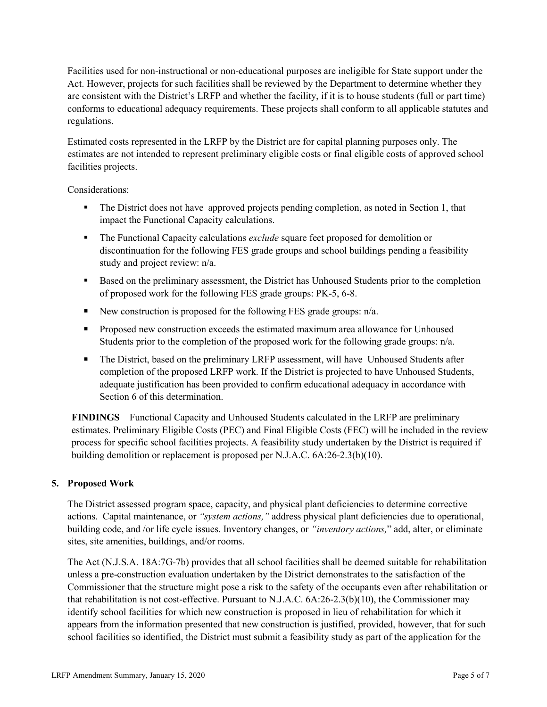Facilities used for non-instructional or non-educational purposes are ineligible for State support under the Act. However, projects for such facilities shall be reviewed by the Department to determine whether they are consistent with the District's LRFP and whether the facility, if it is to house students (full or part time) conforms to educational adequacy requirements. These projects shall conform to all applicable statutes and regulations.

Estimated costs represented in the LRFP by the District are for capital planning purposes only. The estimates are not intended to represent preliminary eligible costs or final eligible costs of approved school facilities projects.

Considerations:

- The District does not have approved projects pending completion, as noted in Section 1, that impact the Functional Capacity calculations.
- The Functional Capacity calculations *exclude* square feet proposed for demolition or discontinuation for the following FES grade groups and school buildings pending a feasibility study and project review: n/a.
- Based on the preliminary assessment, the District has Unhoused Students prior to the completion of proposed work for the following FES grade groups: PK-5, 6-8.
- New construction is proposed for the following FES grade groups:  $n/a$ .
- **Proposed new construction exceeds the estimated maximum area allowance for Unhoused** Students prior to the completion of the proposed work for the following grade groups:  $n/a$ .
- The District, based on the preliminary LRFP assessment, will have Unhoused Students after completion of the proposed LRFP work. If the District is projected to have Unhoused Students, adequate justification has been provided to confirm educational adequacy in accordance with Section 6 of this determination.

**FINDINGS** Functional Capacity and Unhoused Students calculated in the LRFP are preliminary estimates. Preliminary Eligible Costs (PEC) and Final Eligible Costs (FEC) will be included in the review process for specific school facilities projects. A feasibility study undertaken by the District is required if building demolition or replacement is proposed per N.J.A.C. 6A:26-2.3(b)(10).

# **5. Proposed Work**

The District assessed program space, capacity, and physical plant deficiencies to determine corrective actions. Capital maintenance, or *"system actions,"* address physical plant deficiencies due to operational, building code, and /or life cycle issues. Inventory changes, or *"inventory actions,*" add, alter, or eliminate sites, site amenities, buildings, and/or rooms.

The Act (N.J.S.A. 18A:7G-7b) provides that all school facilities shall be deemed suitable for rehabilitation unless a pre-construction evaluation undertaken by the District demonstrates to the satisfaction of the Commissioner that the structure might pose a risk to the safety of the occupants even after rehabilitation or that rehabilitation is not cost-effective. Pursuant to N.J.A.C. 6A:26-2.3(b)(10), the Commissioner may identify school facilities for which new construction is proposed in lieu of rehabilitation for which it appears from the information presented that new construction is justified, provided, however, that for such school facilities so identified, the District must submit a feasibility study as part of the application for the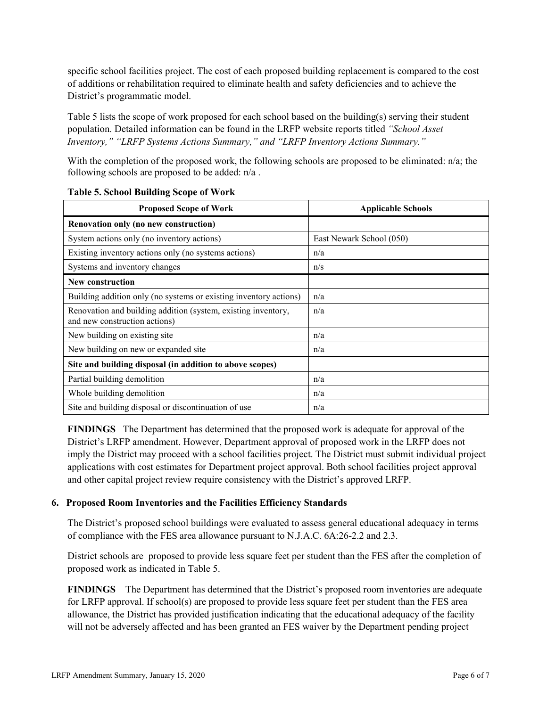specific school facilities project. The cost of each proposed building replacement is compared to the cost of additions or rehabilitation required to eliminate health and safety deficiencies and to achieve the District's programmatic model.

Table 5 lists the scope of work proposed for each school based on the building(s) serving their student population. Detailed information can be found in the LRFP website reports titled *"School Asset Inventory," "LRFP Systems Actions Summary," and "LRFP Inventory Actions Summary."*

With the completion of the proposed work, the following schools are proposed to be eliminated: n/a; the following schools are proposed to be added: n/a .

| <b>Proposed Scope of Work</b>                                                                  | <b>Applicable Schools</b> |
|------------------------------------------------------------------------------------------------|---------------------------|
| Renovation only (no new construction)                                                          |                           |
| System actions only (no inventory actions)                                                     | East Newark School (050)  |
| Existing inventory actions only (no systems actions)                                           | n/a                       |
| Systems and inventory changes                                                                  | n/s                       |
| <b>New construction</b>                                                                        |                           |
| Building addition only (no systems or existing inventory actions)                              | n/a                       |
| Renovation and building addition (system, existing inventory,<br>and new construction actions) | n/a                       |
| New building on existing site.                                                                 | n/a                       |
| New building on new or expanded site                                                           | n/a                       |
| Site and building disposal (in addition to above scopes)                                       |                           |
| Partial building demolition                                                                    | n/a                       |
| Whole building demolition                                                                      | n/a                       |
| Site and building disposal or discontinuation of use                                           | n/a                       |

#### **Table 5. School Building Scope of Work**

**FINDINGS** The Department has determined that the proposed work is adequate for approval of the District's LRFP amendment. However, Department approval of proposed work in the LRFP does not imply the District may proceed with a school facilities project. The District must submit individual project applications with cost estimates for Department project approval. Both school facilities project approval and other capital project review require consistency with the District's approved LRFP.

# **6. Proposed Room Inventories and the Facilities Efficiency Standards**

The District's proposed school buildings were evaluated to assess general educational adequacy in terms of compliance with the FES area allowance pursuant to N.J.A.C. 6A:26-2.2 and 2.3.

District schools are proposed to provide less square feet per student than the FES after the completion of proposed work as indicated in Table 5.

**FINDINGS** The Department has determined that the District's proposed room inventories are adequate for LRFP approval. If school(s) are proposed to provide less square feet per student than the FES area allowance, the District has provided justification indicating that the educational adequacy of the facility will not be adversely affected and has been granted an FES waiver by the Department pending project